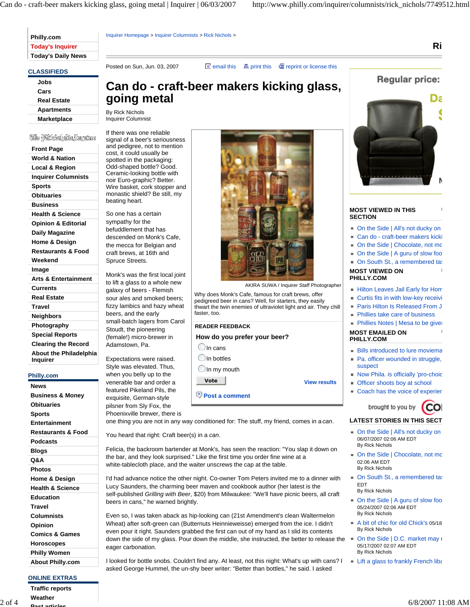| Philly.com                |
|---------------------------|
| <b>Today's Inquirer</b>   |
| <b>Today's Daily News</b> |

**CLASSIFIEDS**

| Jobs               |
|--------------------|
| Cars               |
| <b>Real Estate</b> |
| <b>Apartments</b>  |
| <b>Marketplace</b> |
|                    |

## (Or Pittsbehör,Unguter

| <b>Front Page</b>               |
|---------------------------------|
| <b>World &amp; Nation</b>       |
| Local & Region                  |
| <b>Inquirer Columnists</b>      |
| <b>Sports</b>                   |
| Obituaries                      |
| <b>Business</b>                 |
| <b>Health &amp; Science</b>     |
| <b>Opinion &amp; Editorial</b>  |
| Daily Magazine                  |
| Home & Design                   |
| <b>Restaurants &amp; Food</b>   |
| Weekend                         |
| Image                           |
| <b>Arts &amp; Entertainment</b> |
| Currents                        |
| <b>Real Estate</b>              |
| Travel                          |
| Neighbors                       |
| Photography                     |
| <b>Special Reports</b>          |
| Alla a che se di contr<br>٠     |

**Clearing the Record About the Philadelphia Inquirer**

### **Philly.com**

| News                          |
|-------------------------------|
| <b>Business &amp; Money</b>   |
| Obituaries                    |
| <b>Sports</b>                 |
| Entertainment                 |
| <b>Restaurants &amp; Food</b> |
| Podcasts                      |
| Blogs                         |
| 0&A                           |
| Photos                        |
| Home & Design                 |
| <b>Health &amp; Science</b>   |
| Education                     |
| Travel                        |
| Columnists                    |
| Opinion                       |
| <b>Comics &amp; Games</b>     |
| Horoscopes                    |
| Philly Women                  |
| <b>About Philly.com</b>       |

## **ONLINE EXTRAS**

**Traffic reports Weather Past articles**

**Can do - craft-beer makers kicking glass, going metal**

By Rick Nichols Inquirer Columnist

If there was one reliable signal of a beer's seriousness and pedigree, not to mention cost, it could usually be spotted in the packaging: Odd-shaped bottle? Good. Ceramic-looking bottle with noir Euro-graphic? Better. Wire basket, cork stopper and monastic shield? Be still, my beating heart.

Inquirer Homepage > Inquirer Columnists > Rick Nichols >

So one has a certain sympathy for the befuddlement that has descended on Monk's Cafe, the mecca for Belgian and craft brews, at 16th and Spruce Streets.

Monk's was the first local joint to lift a glass to a whole new galaxy of beers - Flemish sour ales and smoked beers; fizzy lambics and hazy wheat beers, and the early small-batch lagers from Carol Stoudt, the pioneering (female!) micro-brewer in Adamstown, Pa.

Expectations were raised. Style was elevated. Thus, when you belly up to the venerable bar and order a featured Pikeland Pils, the exquisite, German-style pilsner from Sly Fox, the Phoenixville brewer, there is

AKIRA SUWA / Inquirer Staff Photographer

Why does Monk's Cafe, famous for craft brews, offer pedigreed beer in cans? Well, for starters, they easily thwart the twin enemies of ultraviolet light and air. They chill faster, too.

### **READER FEEDBACK**

Posted on Sun, Jun. 03, 2007 **External invalues** email this **Extending Exercise** this **Extending Extending Containst Posted on Sun, Jun. 03, 2007** 

### **How do you prefer your beer?**

 $\bigcirc$  In cans

 $\bigcirc$  In bottles

 $\bigcirc$  In my mouth

**Vote View results**

 **Post a comment**

one thing you are not in any way conditioned for: The stuff, my friend, comes in a *can*.

You heard that right: Craft beer(s) in a *can*.

Felicia, the backroom bartender at Monk's, has seen the reaction: "You slap it down on the bar, and they look surprised." Like the first time you order fine wine at a white-tablecloth place, and the waiter unscrews the cap at the table.

I'd had advance notice the other night. Co-owner Tom Peters invited me to a dinner with Lucy Saunders, the charming beer maven and cookbook author (her latest is the self-published *Grilling with Beer*, \$20) from Milwaukee: "We'll have picnic beers, all craft beers in cans," he warned brightly.

Even so, I was taken aback as hip-looking can (21st Amendment's clean Waltermelon Wheat) after soft-green can (Butternuts Heinnieweisse) emerged from the ice. I didn't even pour it right. Saunders grabbed the first can out of my hand as I slid its contents down the side of my glass. Pour down the middle, she instructed, the better to release the On the Side | D.C. market may r eager carbonation.

I looked for bottle snobs. Couldn't find any. At least, not this night: What's up with cans? I I Lift a glass to frankly French liba asked George Hummel, the un-shy beer writer: "Better than bottles," he said. I asked



**Ri**



### **MOST VIEWED IN THIS SECTION**

■ On the Side | All's not ducky on

**U**

**U**

- Can do craft-beer makers kicki • On the Side | Chocolate, not mo
- On the Side | A guru of slow foo
- On South St., a remembered tas
- **MOST VIEWED ON**
- **PHILLY.COM**
- Hilton Leaves Jail Early for Hom
- **Curtis fits in with low-key receivi** ■ Paris Hilton Is Released From J
- **Phillies take care of business**
- **U Phillies Notes | Mesa to be given MOST EMAILED ON**

# **PHILLY.COM**

- **Bills introduced to lure moviema**
- Pa. officer wounded in struggle, suspect
- Now Phila. is officially 'pro-choic
- **Officer shoots boy at school**
- Coach has the voice of experien

brought to you by

# **LATEST STORIES IN THIS SECT**

- On the Side | All's not ducky on 06/07/2007 02:06 AM EDT By Rick Nichols
- On the Side | Chocolate, not mo 02:06 AM EDT By Rick Nichols
- **n** On South St., a remembered tas EDT By Rick Nichols
- On the Side | A guru of slow foo 05/24/2007 02:06 AM EDT By Rick Nichols
- A bit of chic for old Chick's 05/18 By Rick Nichols
- 05/17/2007 02:07 AM EDT By Rick Nichols
-